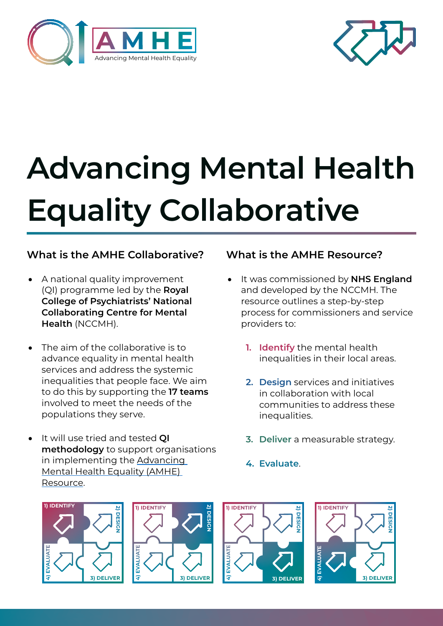



# **Advancing Mental Health Equality Collaborative**

# **What is the AMHE Collaborative?**

- A national quality improvement (QI) programme led by the **Royal College of Psychiatrists' National Collaborating Centre for Mental Health** (NCCMH).
- The aim of the collaborative is to advance equality in mental health services and address the systemic inequalities that people face. We aim to do this by supporting the **17 teams**  involved to meet the needs of the populations they serve.
- **It will use tried and tested QI methodology** to support organisations in implementing the [Advancing](https://www.rcpsych.ac.uk/improving-care/nccmh/care-pathways/advancing-mental-health-equality)  [Mental Health Equality \(AMHE\)](https://www.rcpsych.ac.uk/improving-care/nccmh/care-pathways/advancing-mental-health-equality)  [Resource.](https://www.rcpsych.ac.uk/improving-care/nccmh/care-pathways/advancing-mental-health-equality)

### **What is the AMHE Resource?**

- It was commissioned by **NHS England** and developed by the NCCMH. The resource outlines a step-by-step process for commissioners and service providers to:
	- **1. Identify** the mental health inequalities in their local areas.
	- **2. Design** services and initiatives in collaboration with local communities to address these inequalities.
	- **3. Deliver** a measurable strategy.
	- **4. Evaluate**.







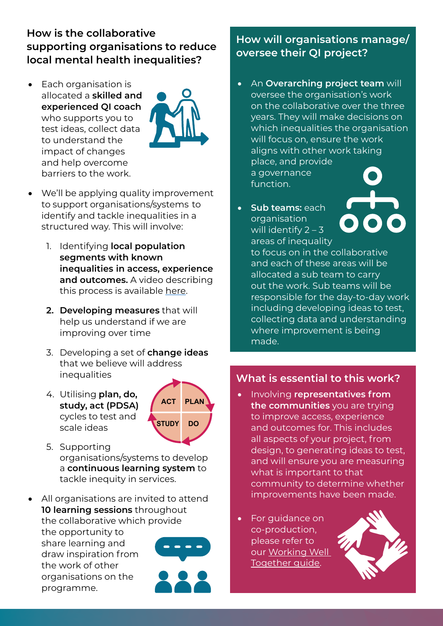# **How is the collaborative supporting organisations to reduce local mental health inequalities?**

• Each organisation is allocated a **skilled and experienced QI coach**  who supports you to test ideas, collect data to understand the impact of changes and help overcome barriers to the work.



- • We'll be applying quality improvement to support organisations/systems to identify and tackle inequalities in a structured way. This will involve:
	- 1. Identifying **local population segments with known inequalities in access, experience and outcomes.** A video describing this process is available [here.](https://www.youtube.com/watch?v=dBMgk_7a6j4)
	- **2. Developing measures** that will help us understand if we are improving over time
	- 3. Developing a set of **change ideas**  that we believe will address inequalities
	- 4. Utilising **plan, do, study, act (PDSA)**  cycles to test and scale ideas



- 5. Supporting organisations/systems to develop a **continuous learning system** to tackle inequity in services.
- All organisations are invited to attend **10 learning sessions** throughout the collaborative which provide the opportunity to share learning and draw inspiration from the work of other organisations on the programme.

# **How will organisations manage/ oversee their QI project?**

- • An **Overarching project team** will oversee the organisation's work on the collaborative over the three years. They will make decisions on which inequalities the organisation will focus on, ensure the work aligns with other work taking place, and provide a governance function.
- • **Sub teams:** each organisation will identify 2 – 3 areas of inequality

to focus on in the collaborative and each of these areas will be allocated a sub team to carry out the work. Sub teams will be responsible for the day-to-day work including developing ideas to test, collecting data and understanding where improvement is being made.

### **What is essential to this work?**

- Involving **representatives from the communities** you are trying to improve access, experience and outcomes for. This includes all aspects of your project, from design, to generating ideas to test, and will ensure you are measuring what is important to that community to determine whether improvements have been made.
- For guidance on co-production, please refer to our [Working Well](https://www.rcpsych.ac.uk/improving-care/nccmh/other-programmes/coproduction)  [Together guide.](https://www.rcpsych.ac.uk/improving-care/nccmh/other-programmes/coproduction)